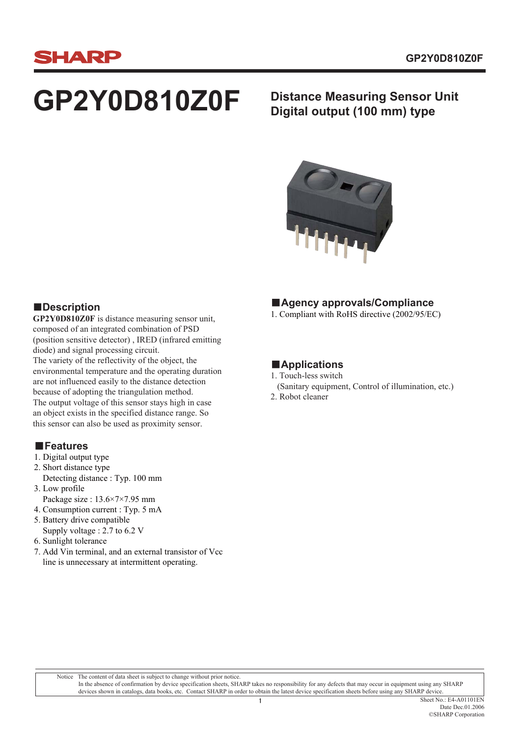# SHARP

# **GP2Y0D810Z0F**

# **Distance Measuring Sensor Unit Digital output (100 mm) type**



# **■Description**

**GP2Y0D810Z0F** is distance measuring sensor unit, composed of an integrated combination of PSD (position sensitive detector) , IRED (infrared emitting diode) and signal processing circuit. The variety of the reflectivity of the object, the environmental temperature and the operating duration are not influenced easily to the distance detection because of adopting the triangulation method. The output voltage of this sensor stays high in case an object exists in the specified distance range. So this sensor can also be used as proximity sensor.

# ■**Features**

- 1. Digital output type
- 2. Short distance type Detecting distance : Typ. 100 mm
- 3. Low profile Package size : 13.6×7×7.95 mm
- 4. Consumption current : Typ. 5 mA
- 5. Battery drive compatible Supply voltage : 2.7 to 6.2 V
- 6. Sunlight tolerance
- 7. Add Vin terminal, and an external transistor of Vcc line is unnecessary at intermittent operating.

# ■**Agency approvals/Compliance**

1. Compliant with RoHS directive (2002/95/EC)

# ■**Applications**

- 1. Touch-less switch
- (Sanitary equipment, Control of illumination, etc.)
- 2. Robot cleaner

Notice The content of data sheet is subject to change without prior notice.

 In the absence of confirmation by device specification sheets, SHARP takes no responsibility for any defects that may occur in equipment using any SHARP devices shown in catalogs, data books, etc. Contact SHARP in order to obtain the latest device specification sheets before using any SHARP device.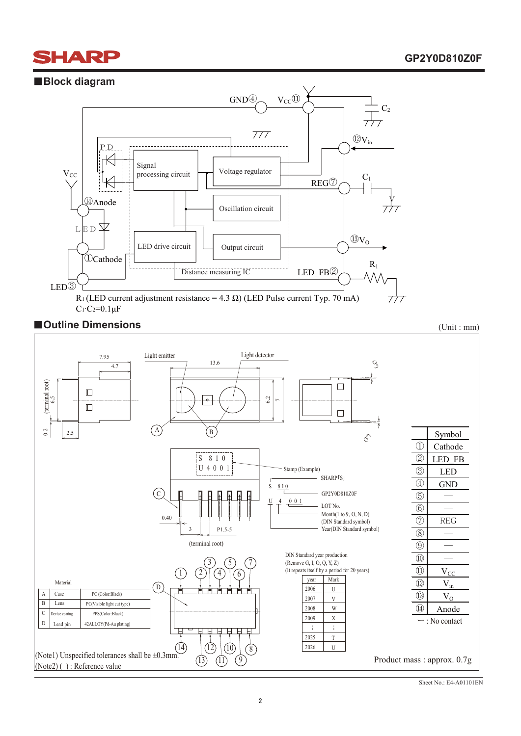

# ■**Block diagram**



# ■ **Outline Dimensions** (Unit : mm)

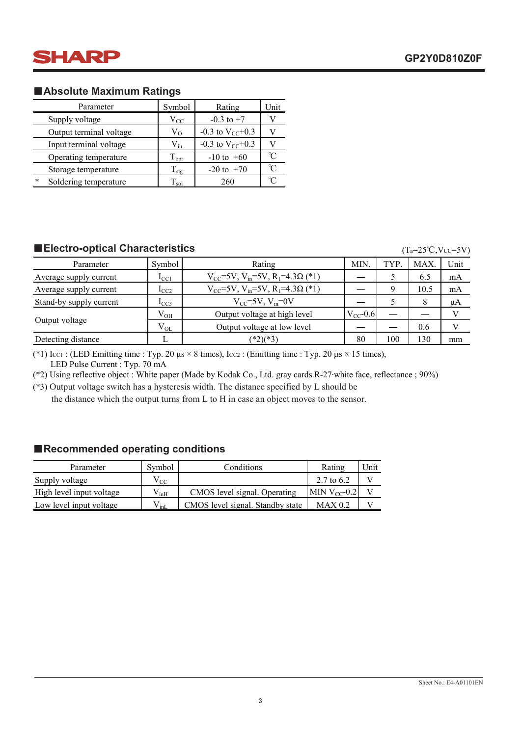## ■**Absolute Maximum Ratings**

|        | Parameter               | Symbol             | Rating                         | Unit         |
|--------|-------------------------|--------------------|--------------------------------|--------------|
|        | Supply voltage          | $\rm V_{CC}$       | $-0.3$ to $+7$                 |              |
|        | Output terminal voltage | $V_{O}$            | $-0.3$ to V <sub>CC</sub> +0.3 | V            |
|        | Input terminal voltage  | $\rm V_{in}$       | $-0.3$ to V <sub>CC</sub> +0.3 |              |
|        | Operating temperature   | $\rm T_{\rm opr}$  | $-10$ to $+60$                 | n            |
|        | Storage temperature     | $\rm T_{\rm stg}$  | $-20$ to $+70$                 | $^{\circ}$ C |
| $\ast$ | Soldering temperature   | $\Gamma_{\rm sol}$ | 260                            | °∩           |

# ■**Electro-optical Characteristics**

#### $(T_a=25^{\circ}C, Vcc=5V)$

| Parameter               | Symbol         | Rating                                                               | MIN           | TYP. | <b>MAX</b> | Unit         |
|-------------------------|----------------|----------------------------------------------------------------------|---------------|------|------------|--------------|
| Average supply current  | $_{\rm{ICC1}}$ | $V_{CC}$ =5V, V <sub>in</sub> =5V, R <sub>1</sub> =4.3 $\Omega$ (*1) |               |      | 6.5        | mA           |
| Average supply current  | $_{\rm{ICC2}}$ | $V_{CC}$ =5V, V <sub>in</sub> =5V, R <sub>1</sub> =4.3 $\Omega$ (*1) |               | Q    | 10.5       | mA           |
| Stand-by supply current | $1_{CC3}$      | $V_{CC}$ =5V, $V_{in}$ =0V                                           |               |      | $\circ$    | μA           |
|                         | $\rm V_{OH}$   | Output voltage at high level                                         | $V_{CC}$ -0.6 |      |            |              |
| Output voltage          | $\rm V_{OL}$   | Output voltage at low level                                          |               |      | 0.6        | $\mathbf{V}$ |
| Detecting distance      |                | $(*2)(*3)$                                                           | 80            | 100  | 130        | mm           |

(\*1) Icc1 : (LED Emitting time : Typ. 20 μs  $\times$  8 times), Icc2 : (Emitting time : Typ. 20 μs  $\times$  15 times), LED Pulse Current : Typ. 70 mA

(\*2) Using reflective object : White paper (Made by Kodak Co., Ltd. gray cards R-27·white face, reflectance ; 90%)

(\*3) Output voltage switch has a hysteresis width. The distance specified by L should be

the distance which the output turns from L to H in case an object moves to the sensor.

# ■**Recommended operating conditions**

| Parameter                | Symbol    | Conditions                       | Rating            | Unit |
|--------------------------|-----------|----------------------------------|-------------------|------|
| Supply voltage           | $V_{CC}$  |                                  | 2.7 to $6.2$      |      |
| High level input voltage | $V_{inH}$ | CMOS level signal. Operating     | MIN $V_{cc}$ -0.2 |      |
| Low level input voltage  | $V_{inL}$ | CMOS level signal. Standby state | MAX 0.2           |      |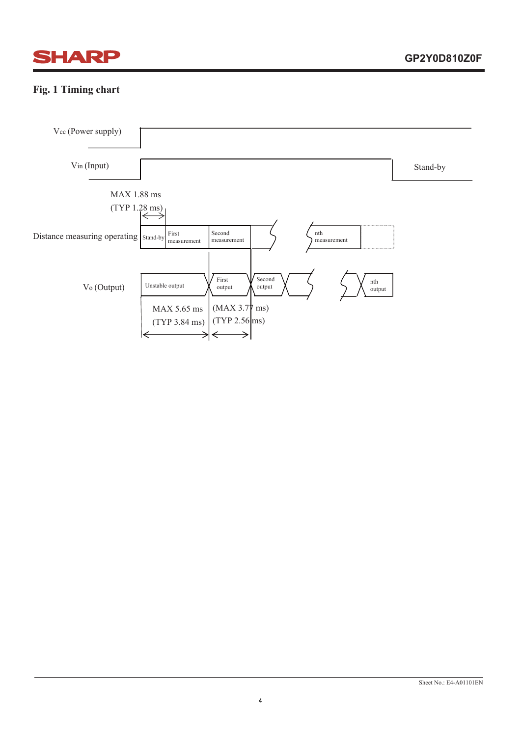

# **Fig. 1 Timing chart**

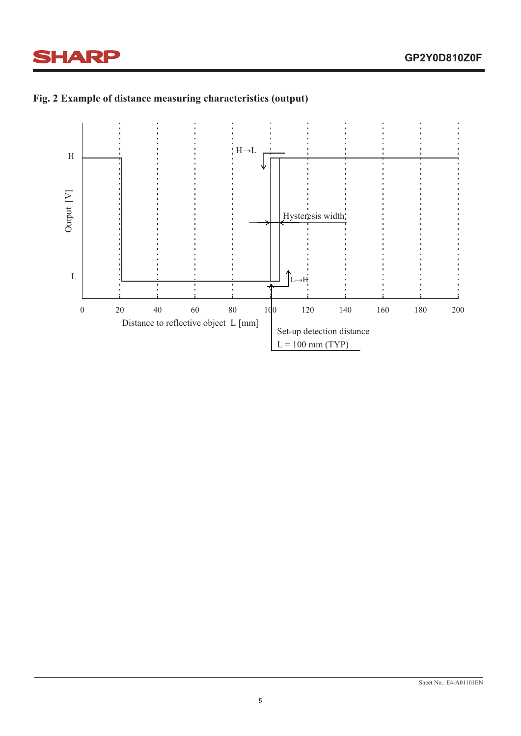

# **Fig. 2 Example of distance measuring characteristics (output)**

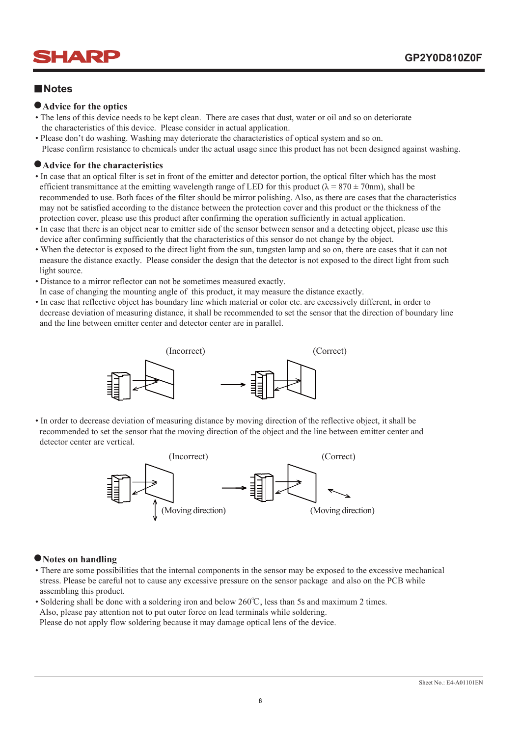

## ■**Notes**

#### **●Advice for the optics**

- The lens of this device needs to be kept clean. There are cases that dust, water or oil and so on deteriorate the characteristics of this device. Please consider in actual application.
- Please don't do washing. Washing may deteriorate the characteristics of optical system and so on.
- Please confirm resistance to chemicals under the actual usage since this product has not been designed against washing.

#### **●Advice for the characteristics**

- In case that an optical filter is set in front of the emitter and detector portion, the optical filter which has the most efficient transmittance at the emitting wavelength range of LED for this product ( $\lambda = 870 \pm 70$ nm), shall be recommended to use. Both faces of the filter should be mirror polishing. Also, as there are cases that the characteristics may not be satisfied according to the distance between the protection cover and this product or the thickness of the protection cover, please use this product after confirming the operation sufficiently in actual application.
- In case that there is an object near to emitter side of the sensor between sensor and a detecting object, please use this device after confirming sufficiently that the characteristics of this sensor do not change by the object.
- When the detector is exposed to the direct light from the sun, tungsten lamp and so on, there are cases that it can not measure the distance exactly. Please consider the design that the detector is not exposed to the direct light from such light source.
- Distance to a mirror reflector can not be sometimes measured exactly.
- In case of changing the mounting angle of this product, it may measure the distance exactly.
- In case that reflective object has boundary line which material or color etc. are excessively different, in order to decrease deviation of measuring distance, it shall be recommended to set the sensor that the direction of boundary line and the line between emitter center and detector center are in parallel.



 • In order to decrease deviation of measuring distance by moving direction of the reflective object, it shall be recommended to set the sensor that the moving direction of the object and the line between emitter center and detector center are vertical.



# **●Notes on handling**

- There are some possibilities that the internal components in the sensor may be exposed to the excessive mechanical stress. Please be careful not to cause any excessive pressure on the sensor package and also on the PCB while assembling this product.
- Soldering shall be done with a soldering iron and below 260℃, less than 5s and maximum 2 times. Also, please pay attention not to put outer force on lead terminals while soldering. Please do not apply flow soldering because it may damage optical lens of the device.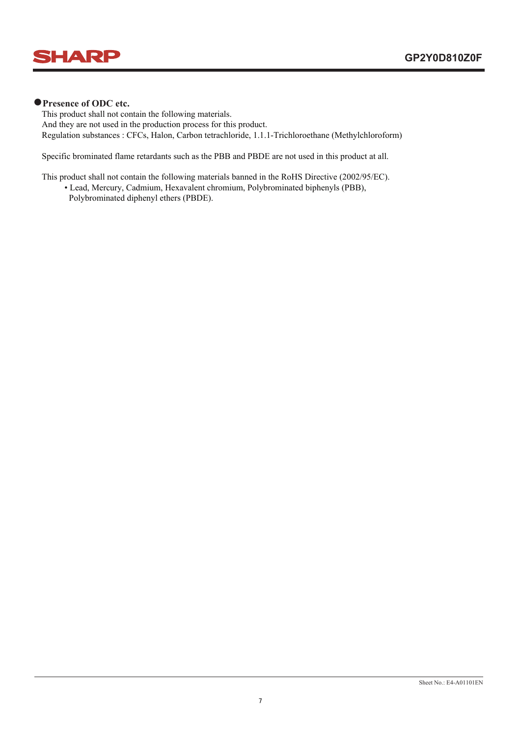### **●Presence of ODC etc.**

 This product shall not contain the following materials. And they are not used in the production process for this product. Regulation substances : CFCs, Halon, Carbon tetrachloride, 1.1.1-Trichloroethane (Methylchloroform)

Specific brominated flame retardants such as the PBB and PBDE are not used in this product at all.

This product shall not contain the following materials banned in the RoHS Directive (2002/95/EC).

 • Lead, Mercury, Cadmium, Hexavalent chromium, Polybrominated biphenyls (PBB), Polybrominated diphenyl ethers (PBDE).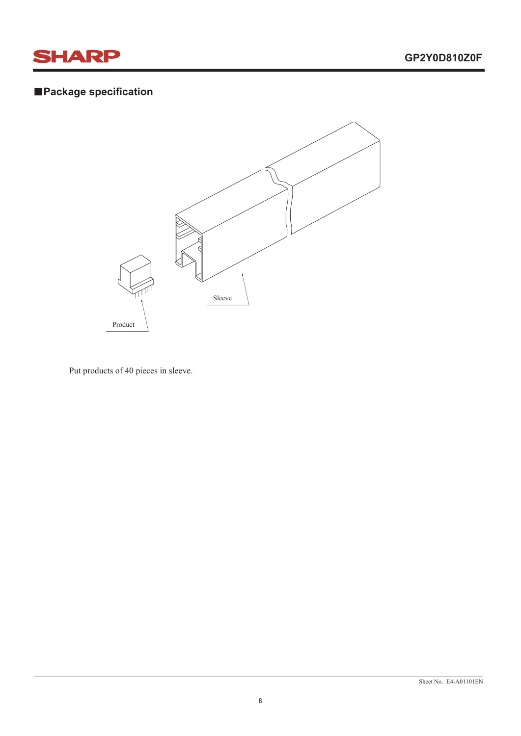

# ■**Package specification**



Put products of 40 pieces in sleeve.